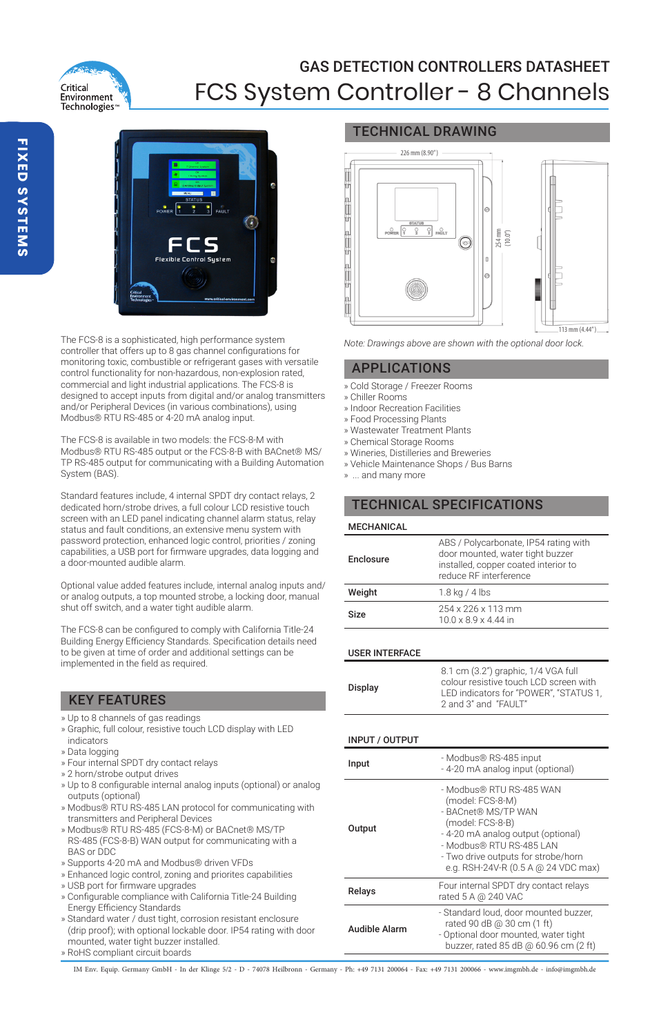

# GAS DETECTION CONTROLLERS DATASHEET FCS System Controller - 8 Channels



The FCS-8 is a sophisticated, high performance system controller that offers up to 8 gas channel configurations for monitoring toxic, combustible or refrigerant gases with versatile control functionality for non-hazardous, non-explosion rated, commercial and light industrial applications. The FCS-8 is designed to accept inputs from digital and/or analog transmitters and/or Peripheral Devices (in various combinations), using Modbus® RTU RS-485 or 4-20 mA analog input.

The FCS-8 is available in two models: the FCS-8-M with Modbus® RTU RS-485 output or the FCS-8-B with BACnet® MS/ TP RS-485 output for communicating with a Building Automation System (BAS).

Standard features include, 4 internal SPDT dry contact relays, 2 dedicated horn/strobe drives, a full colour LCD resistive touch screen with an LED panel indicating channel alarm status, relay status and fault conditions, an extensive menu system with password protection, enhanced logic control, priorities / zoning capabilities, a USB port for firmware upgrades, data logging and a door-mounted audible alarm.

Optional value added features include, internal analog inputs and/ or analog outputs, a top mounted strobe, a locking door, manual shut off switch, and a water tight audible alarm.

The FCS-8 can be configured to comply with California Title-24 Building Energy Efficiency Standards. Specification details need to be given at time of order and additional settings can be implemented in the field as required.

## KEY FEATURES

- » Up to 8 channels of gas readings
- » Graphic, full colour, resistive touch LCD display with LED indicators
- » Data logging
- » Four internal SPDT dry contact relays
- » 2 horn/strobe output drives
- » Up to 8 configurable internal analog inputs (optional) or analog outputs (optional)
- » Modbus® RTU RS-485 LAN protocol for communicating with transmitters and Peripheral Devices
- » Modbus® RTU RS-485 (FCS-8-M) or BACnet® MS/TP RS-485 (FCS-8-B) WAN output for communicating with a BAS or DDC
- » Supports 4-20 mA and Modbus® driven VFDs
- » Enhanced logic control, zoning and priorites capabilities
- » USB port for firmware upgrades
- » Configurable compliance with California Title-24 Building Energy Efficiency Standards
- » Standard water / dust tight, corrosion resistant enclosure (drip proof); with optional lockable door. IP54 rating with door mounted, water tight buzzer installed.
- » RoHS compliant circuit boards

## TECHNICAL DRAWING



*Note: Drawings above are shown with the optional door lock.*

### APPLICATIONS

- » Cold Storage / Freezer Rooms
- » Chiller Rooms
- » Indoor Recreation Facilities
- » Food Processing Plants
- » Wastewater Treatment Plants
- » Chemical Storage Rooms
- » Wineries, Distilleries and Breweries
- » Vehicle Maintenance Shops / Bus Barns

» ... and many more

## TECHNICAL SPECIFICATIONS

| <b>MECHANICAL</b> |                                                                                                                                             |  |  |
|-------------------|---------------------------------------------------------------------------------------------------------------------------------------------|--|--|
| Enclosure         | ABS / Polycarbonate, IP54 rating with<br>door mounted, water tight buzzer<br>installed, copper coated interior to<br>reduce RF interference |  |  |
| Weight            | 1.8 kg / 4 lbs                                                                                                                              |  |  |
| Size              | 254 x 226 x 113 mm<br>10.0 x 8.9 x 4.44 in                                                                                                  |  |  |

#### USER INTERFACE

#### INPUT / OUTPUT

| Input         | - Modbus® RS-485 input<br>- 4-20 mA analog input (optional)                                                                                                                                                                             |  |  |
|---------------|-----------------------------------------------------------------------------------------------------------------------------------------------------------------------------------------------------------------------------------------|--|--|
| Output        | - Modbus® RTU RS-485 WAN<br>(model: FCS-8-M)<br>- BACnet® MS/TP WAN<br>(model: FCS-8-B)<br>- 4-20 mA analog output (optional)<br>- Modbus® RTU RS-485 LAN<br>- Two drive outputs for strobe/horn<br>e.g. RSH-24V-R (0.5 A @ 24 VDC max) |  |  |
| Relays        | Four internal SPDT dry contact relays<br>rated 5 A @ 240 VAC                                                                                                                                                                            |  |  |
| Audible Alarm | - Standard loud, door mounted buzzer.<br>rated 90 dB @ 30 cm (1 ft)<br>- Optional door mounted, water tight<br>buzzer, rated 85 dB @ 60.96 cm (2 ft)                                                                                    |  |  |

IM Env. Equip. Germany GmbH - In der Klinge 5/2 - D - 74078 Heilbronn - Germany - Ph: +49 7131 200064 - Fax: +49 7131 200066 - www.imgmbh.de - info@imgmbh.de